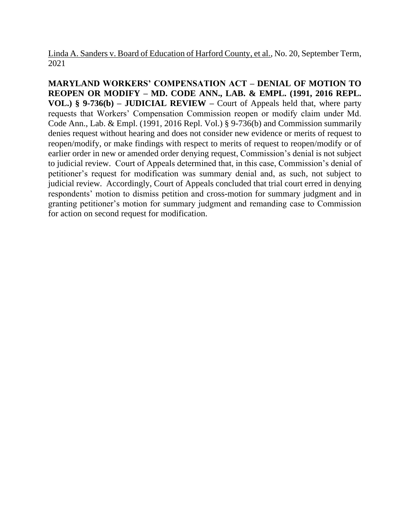Linda A. Sanders v. Board of Education of Harford County, et al., No. 20, September Term, 2021

**MARYLAND WORKERS' COMPENSATION ACT – DENIAL OF MOTION TO REOPEN OR MODIFY – MD. CODE ANN., LAB. & EMPL. (1991, 2016 REPL. VOL.) § 9-736(b) – JUDICIAL REVIEW –** Court of Appeals held that, where party requests that Workers' Compensation Commission reopen or modify claim under Md. Code Ann., Lab. & Empl. (1991, 2016 Repl. Vol.) § 9-736(b) and Commission summarily denies request without hearing and does not consider new evidence or merits of request to reopen/modify, or make findings with respect to merits of request to reopen/modify or of earlier order in new or amended order denying request, Commission's denial is not subject to judicial review. Court of Appeals determined that, in this case, Commission's denial of petitioner's request for modification was summary denial and, as such, not subject to judicial review. Accordingly, Court of Appeals concluded that trial court erred in denying respondents' motion to dismiss petition and cross-motion for summary judgment and in granting petitioner's motion for summary judgment and remanding case to Commission for action on second request for modification.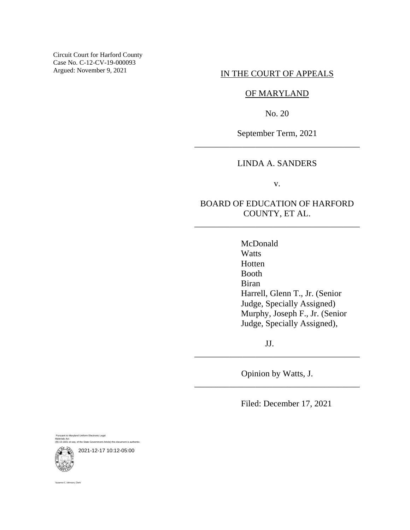Circuit Court for Harford County Case No. C-12-CV-19-000093 Argued: November 9, 2021

### IN THE COURT OF APPEALS

## OF MARYLAND

No. 20

September Term, 2021 \_\_\_\_\_\_\_\_\_\_\_\_\_\_\_\_\_\_\_\_\_\_\_\_\_\_\_\_\_\_\_\_\_\_\_\_\_\_

# LINDA A. SANDERS

v.

# BOARD OF EDUCATION OF HARFORD COUNTY, ET AL.

\_\_\_\_\_\_\_\_\_\_\_\_\_\_\_\_\_\_\_\_\_\_\_\_\_\_\_\_\_\_\_\_\_\_\_\_\_\_

McDonald **Watts** Hotten Booth Biran Harrell, Glenn T., Jr. (Senior Judge, Specially Assigned) Murphy, Joseph F., Jr. (Senior Judge, Specially Assigned),

JJ.

Opinion by Watts, J. \_\_\_\_\_\_\_\_\_\_\_\_\_\_\_\_\_\_\_\_\_\_\_\_\_\_\_\_\_\_\_\_\_\_\_\_\_\_

\_\_\_\_\_\_\_\_\_\_\_\_\_\_\_\_\_\_\_\_\_\_\_\_\_\_\_\_\_\_\_\_\_\_\_\_\_\_

Filed: December 17, 2021

Pursuant to Maryland Uniform Electronic Legal Materials Act (§§ 10-1601 et seq. of the State Government Article) this document is authentic.



ne C. Johnson, Clerk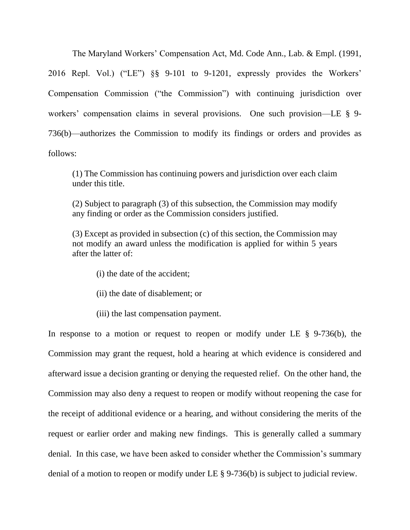The Maryland Workers' Compensation Act, Md. Code Ann., Lab. & Empl. (1991, 2016 Repl. Vol.) ("LE") §§ 9-101 to 9-1201, expressly provides the Workers' Compensation Commission ("the Commission") with continuing jurisdiction over workers' compensation claims in several provisions. One such provision—LE § 9-736(b)—authorizes the Commission to modify its findings or orders and provides as follows:

(1) The Commission has continuing powers and jurisdiction over each claim under this title.

(2) Subject to paragraph (3) of this subsection, the Commission may modify any finding or order as the Commission considers justified.

(3) Except as provided in subsection (c) of this section, the Commission may not modify an award unless the modification is applied for within 5 years after the latter of:

- (i) the date of the accident;
- (ii) the date of disablement; or
- (iii) the last compensation payment.

In response to a motion or request to reopen or modify under LE  $\S$  9-736(b), the Commission may grant the request, hold a hearing at which evidence is considered and afterward issue a decision granting or denying the requested relief. On the other hand, the Commission may also deny a request to reopen or modify without reopening the case for the receipt of additional evidence or a hearing, and without considering the merits of the request or earlier order and making new findings. This is generally called a summary denial. In this case, we have been asked to consider whether the Commission's summary denial of a motion to reopen or modify under LE § 9-736(b) is subject to judicial review.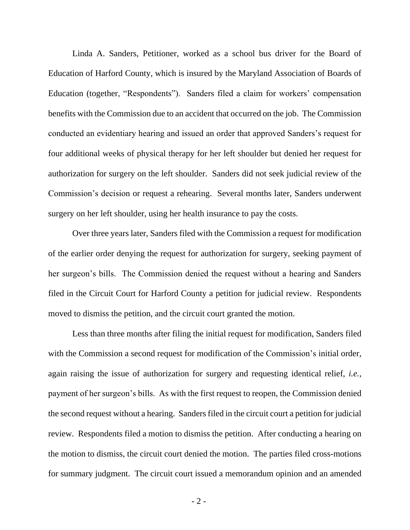Linda A. Sanders, Petitioner, worked as a school bus driver for the Board of Education of Harford County, which is insured by the Maryland Association of Boards of Education (together, "Respondents"). Sanders filed a claim for workers' compensation benefits with the Commission due to an accident that occurred on the job. The Commission conducted an evidentiary hearing and issued an order that approved Sanders's request for four additional weeks of physical therapy for her left shoulder but denied her request for authorization for surgery on the left shoulder. Sanders did not seek judicial review of the Commission's decision or request a rehearing. Several months later, Sanders underwent surgery on her left shoulder, using her health insurance to pay the costs.

Over three years later, Sanders filed with the Commission a request for modification of the earlier order denying the request for authorization for surgery, seeking payment of her surgeon's bills. The Commission denied the request without a hearing and Sanders filed in the Circuit Court for Harford County a petition for judicial review. Respondents moved to dismiss the petition, and the circuit court granted the motion.

Less than three months after filing the initial request for modification, Sanders filed with the Commission a second request for modification of the Commission's initial order, again raising the issue of authorization for surgery and requesting identical relief, *i.e.*, payment of her surgeon's bills. As with the first request to reopen, the Commission denied the second request without a hearing. Sanders filed in the circuit court a petition for judicial review. Respondents filed a motion to dismiss the petition. After conducting a hearing on the motion to dismiss, the circuit court denied the motion. The parties filed cross-motions for summary judgment. The circuit court issued a memorandum opinion and an amended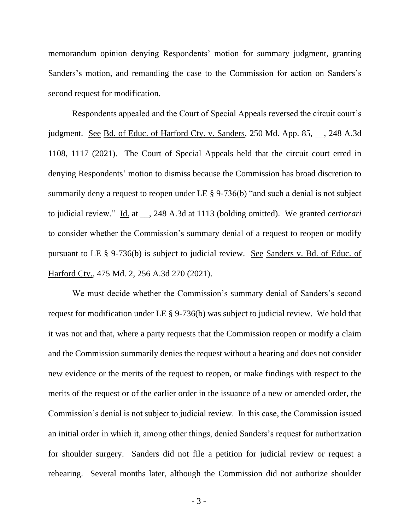memorandum opinion denying Respondents' motion for summary judgment, granting Sanders's motion, and remanding the case to the Commission for action on Sanders's second request for modification.

Respondents appealed and the Court of Special Appeals reversed the circuit court's judgment. See Bd. of Educ. of Harford Cty. v. Sanders, 250 Md. App. 85, \_\_, 248 A.3d 1108, 1117 (2021). The Court of Special Appeals held that the circuit court erred in denying Respondents' motion to dismiss because the Commission has broad discretion to summarily deny a request to reopen under LE § 9-736(b) "and such a denial is not subject to judicial review." Id. at \_\_, 248 A.3d at 1113 (bolding omitted). We granted *certiorari* to consider whether the Commission's summary denial of a request to reopen or modify pursuant to LE § 9-736(b) is subject to judicial review. See Sanders v. Bd. of Educ. of Harford Cty., 475 Md. 2, 256 A.3d 270 (2021).

We must decide whether the Commission's summary denial of Sanders's second request for modification under LE § 9-736(b) was subject to judicial review. We hold that it was not and that, where a party requests that the Commission reopen or modify a claim and the Commission summarily denies the request without a hearing and does not consider new evidence or the merits of the request to reopen, or make findings with respect to the merits of the request or of the earlier order in the issuance of a new or amended order, the Commission's denial is not subject to judicial review. In this case, the Commission issued an initial order in which it, among other things, denied Sanders's request for authorization for shoulder surgery. Sanders did not file a petition for judicial review or request a rehearing. Several months later, although the Commission did not authorize shoulder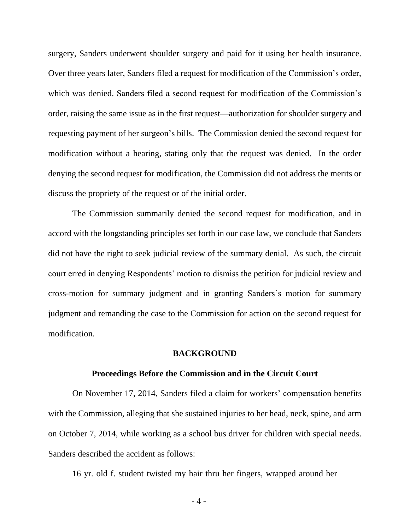surgery, Sanders underwent shoulder surgery and paid for it using her health insurance. Over three years later, Sanders filed a request for modification of the Commission's order, which was denied. Sanders filed a second request for modification of the Commission's order, raising the same issue as in the first request—authorization for shoulder surgery and requesting payment of her surgeon's bills. The Commission denied the second request for modification without a hearing, stating only that the request was denied. In the order denying the second request for modification, the Commission did not address the merits or discuss the propriety of the request or of the initial order.

The Commission summarily denied the second request for modification, and in accord with the longstanding principles set forth in our case law, we conclude that Sanders did not have the right to seek judicial review of the summary denial. As such, the circuit court erred in denying Respondents' motion to dismiss the petition for judicial review and cross-motion for summary judgment and in granting Sanders's motion for summary judgment and remanding the case to the Commission for action on the second request for modification.

#### **BACKGROUND**

#### **Proceedings Before the Commission and in the Circuit Court**

On November 17, 2014, Sanders filed a claim for workers' compensation benefits with the Commission, alleging that she sustained injuries to her head, neck, spine, and arm on October 7, 2014, while working as a school bus driver for children with special needs. Sanders described the accident as follows:

16 yr. old f. student twisted my hair thru her fingers, wrapped around her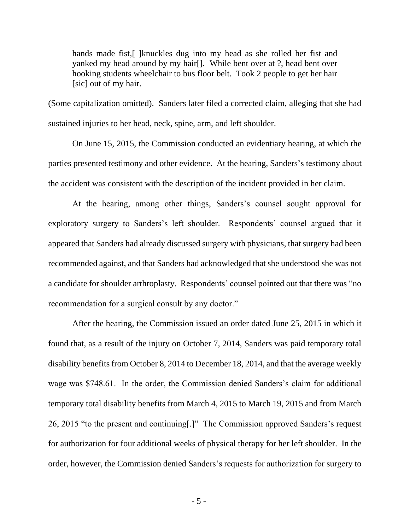hands made fist, [ ] knuckles dug into my head as she rolled her fist and yanked my head around by my hair[]. While bent over at ?, head bent over hooking students wheelchair to bus floor belt. Took 2 people to get her hair [sic] out of my hair.

(Some capitalization omitted). Sanders later filed a corrected claim, alleging that she had sustained injuries to her head, neck, spine, arm, and left shoulder.

On June 15, 2015, the Commission conducted an evidentiary hearing, at which the parties presented testimony and other evidence. At the hearing, Sanders's testimony about the accident was consistent with the description of the incident provided in her claim.

At the hearing, among other things, Sanders's counsel sought approval for exploratory surgery to Sanders's left shoulder. Respondents' counsel argued that it appeared that Sanders had already discussed surgery with physicians, that surgery had been recommended against, and that Sanders had acknowledged that she understood she was not a candidate for shoulder arthroplasty. Respondents' counsel pointed out that there was "no recommendation for a surgical consult by any doctor."

After the hearing, the Commission issued an order dated June 25, 2015 in which it found that, as a result of the injury on October 7, 2014, Sanders was paid temporary total disability benefits from October 8, 2014 to December 18, 2014, and that the average weekly wage was \$748.61. In the order, the Commission denied Sanders's claim for additional temporary total disability benefits from March 4, 2015 to March 19, 2015 and from March 26, 2015 "to the present and continuing[.]" The Commission approved Sanders's request for authorization for four additional weeks of physical therapy for her left shoulder. In the order, however, the Commission denied Sanders's requests for authorization for surgery to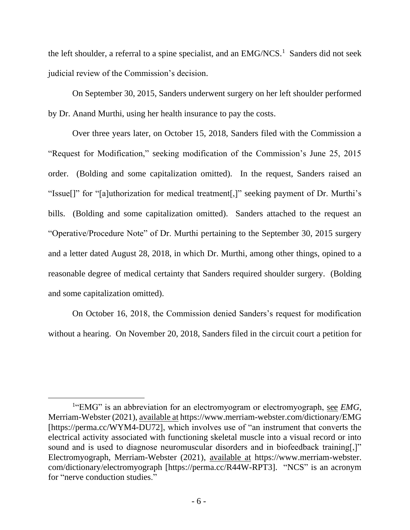the left shoulder, a referral to a spine specialist, and an  $EMG/NCS$ <sup>1</sup>. Sanders did not seek judicial review of the Commission's decision.

On September 30, 2015, Sanders underwent surgery on her left shoulder performed by Dr. Anand Murthi, using her health insurance to pay the costs.

Over three years later, on October 15, 2018, Sanders filed with the Commission a "Request for Modification," seeking modification of the Commission's June 25, 2015 order. (Bolding and some capitalization omitted). In the request, Sanders raised an "Issue[]" for "[a]uthorization for medical treatment[,]" seeking payment of Dr. Murthi's bills. (Bolding and some capitalization omitted). Sanders attached to the request an "Operative/Procedure Note" of Dr. Murthi pertaining to the September 30, 2015 surgery and a letter dated August 28, 2018, in which Dr. Murthi, among other things, opined to a reasonable degree of medical certainty that Sanders required shoulder surgery. (Bolding and some capitalization omitted).

On October 16, 2018, the Commission denied Sanders's request for modification without a hearing. On November 20, 2018, Sanders filed in the circuit court a petition for

<sup>&</sup>lt;sup>1</sup>"EMG" is an abbreviation for an electromyogram or electromyograph, see *EMG*, Merriam-Webster (2021), available at https://www.merriam-webster.com/dictionary/EMG [https://perma.cc/WYM4-DU72], which involves use of "an instrument that converts the electrical activity associated with functioning skeletal muscle into a visual record or into sound and is used to diagnose neuromuscular disorders and in biofeedback training[,]" Electromyograph, Merriam-Webster (2021), available at https://www.merriam-webster. com/dictionary/electromyograph [https://perma.cc/R44W-RPT3]. "NCS" is an acronym for "nerve conduction studies."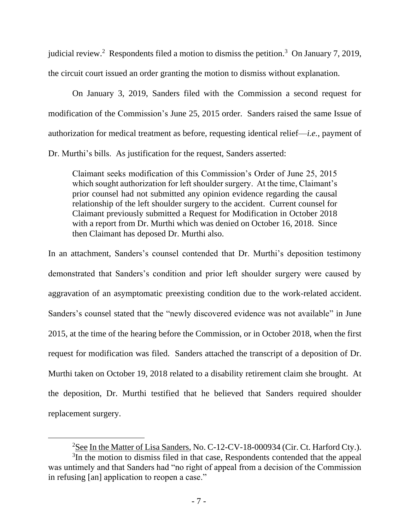judicial review.<sup>2</sup> Respondents filed a motion to dismiss the petition.<sup>3</sup> On January 7, 2019, the circuit court issued an order granting the motion to dismiss without explanation.

On January 3, 2019, Sanders filed with the Commission a second request for modification of the Commission's June 25, 2015 order. Sanders raised the same Issue of authorization for medical treatment as before, requesting identical relief—*i.e.*, payment of Dr. Murthi's bills. As justification for the request, Sanders asserted:

Claimant seeks modification of this Commission's Order of June 25, 2015 which sought authorization for left shoulder surgery. At the time, Claimant's prior counsel had not submitted any opinion evidence regarding the causal relationship of the left shoulder surgery to the accident. Current counsel for Claimant previously submitted a Request for Modification in October 2018 with a report from Dr. Murthi which was denied on October 16, 2018. Since then Claimant has deposed Dr. Murthi also.

In an attachment, Sanders's counsel contended that Dr. Murthi's deposition testimony demonstrated that Sanders's condition and prior left shoulder surgery were caused by aggravation of an asymptomatic preexisting condition due to the work-related accident. Sanders's counsel stated that the "newly discovered evidence was not available" in June 2015, at the time of the hearing before the Commission, or in October 2018, when the first request for modification was filed. Sanders attached the transcript of a deposition of Dr. Murthi taken on October 19, 2018 related to a disability retirement claim she brought. At the deposition, Dr. Murthi testified that he believed that Sanders required shoulder replacement surgery.

<sup>&</sup>lt;sup>2</sup>See In the Matter of Lisa Sanders, No. C-12-CV-18-000934 (Cir. Ct. Harford Cty.). <sup>3</sup>In the motion to dismiss filed in that case, Respondents contended that the appeal was untimely and that Sanders had "no right of appeal from a decision of the Commission in refusing [an] application to reopen a case."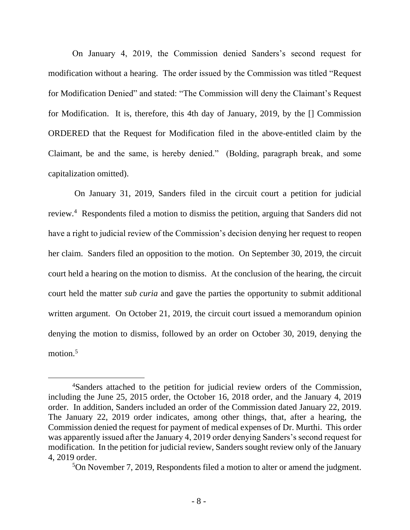On January 4, 2019, the Commission denied Sanders's second request for modification without a hearing. The order issued by the Commission was titled "Request for Modification Denied" and stated: "The Commission will deny the Claimant's Request for Modification. It is, therefore, this 4th day of January, 2019, by the [] Commission ORDERED that the Request for Modification filed in the above-entitled claim by the Claimant, be and the same, is hereby denied." (Bolding, paragraph break, and some capitalization omitted).

On January 31, 2019, Sanders filed in the circuit court a petition for judicial review.<sup>4</sup> Respondents filed a motion to dismiss the petition, arguing that Sanders did not have a right to judicial review of the Commission's decision denying her request to reopen her claim. Sanders filed an opposition to the motion. On September 30, 2019, the circuit court held a hearing on the motion to dismiss. At the conclusion of the hearing, the circuit court held the matter *sub curia* and gave the parties the opportunity to submit additional written argument. On October 21, 2019, the circuit court issued a memorandum opinion denying the motion to dismiss, followed by an order on October 30, 2019, denying the motion. 5

<sup>4</sup>Sanders attached to the petition for judicial review orders of the Commission, including the June 25, 2015 order, the October 16, 2018 order, and the January 4, 2019 order. In addition, Sanders included an order of the Commission dated January 22, 2019. The January 22, 2019 order indicates, among other things, that, after a hearing, the Commission denied the request for payment of medical expenses of Dr. Murthi. This order was apparently issued after the January 4, 2019 order denying Sanders's second request for modification. In the petition for judicial review, Sanders sought review only of the January 4, 2019 order.

<sup>5</sup>On November 7, 2019, Respondents filed a motion to alter or amend the judgment.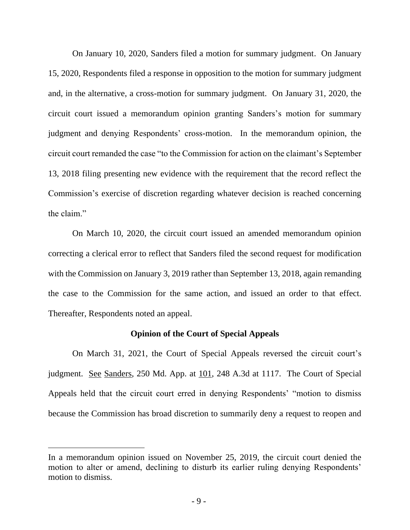On January 10, 2020, Sanders filed a motion for summary judgment. On January 15, 2020, Respondents filed a response in opposition to the motion for summary judgment and, in the alternative, a cross-motion for summary judgment. On January 31, 2020, the circuit court issued a memorandum opinion granting Sanders's motion for summary judgment and denying Respondents' cross-motion. In the memorandum opinion, the circuit court remanded the case "to the Commission for action on the claimant's September 13, 2018 filing presenting new evidence with the requirement that the record reflect the Commission's exercise of discretion regarding whatever decision is reached concerning the claim."

On March 10, 2020, the circuit court issued an amended memorandum opinion correcting a clerical error to reflect that Sanders filed the second request for modification with the Commission on January 3, 2019 rather than September 13, 2018, again remanding the case to the Commission for the same action, and issued an order to that effect. Thereafter, Respondents noted an appeal.

### **Opinion of the Court of Special Appeals**

On March 31, 2021, the Court of Special Appeals reversed the circuit court's judgment. See Sanders, 250 Md. App. at 101, 248 A.3d at 1117. The Court of Special Appeals held that the circuit court erred in denying Respondents' "motion to dismiss because the Commission has broad discretion to summarily deny a request to reopen and

In a memorandum opinion issued on November 25, 2019, the circuit court denied the motion to alter or amend, declining to disturb its earlier ruling denying Respondents' motion to dismiss.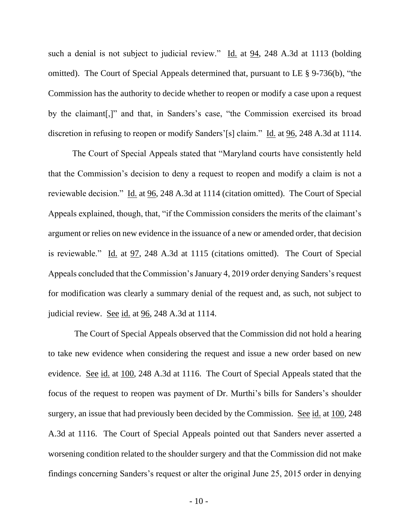such a denial is not subject to judicial review." Id. at 94, 248 A.3d at 1113 (bolding omitted). The Court of Special Appeals determined that, pursuant to LE § 9-736(b), "the Commission has the authority to decide whether to reopen or modify a case upon a request by the claimant[,]" and that, in Sanders's case, "the Commission exercised its broad discretion in refusing to reopen or modify Sanders'[s] claim." Id. at 96, 248 A.3d at 1114.

The Court of Special Appeals stated that "Maryland courts have consistently held that the Commission's decision to deny a request to reopen and modify a claim is not a reviewable decision." Id. at 96, 248 A.3d at 1114 (citation omitted). The Court of Special Appeals explained, though, that, "if the Commission considers the merits of the claimant's argument or relies on new evidence in the issuance of a new or amended order, that decision is reviewable." Id. at 97, 248 A.3d at 1115 (citations omitted). The Court of Special Appeals concluded that the Commission's January 4, 2019 order denying Sanders's request for modification was clearly a summary denial of the request and, as such, not subject to judicial review. See id. at 96, 248 A.3d at 1114.

The Court of Special Appeals observed that the Commission did not hold a hearing to take new evidence when considering the request and issue a new order based on new evidence. See id. at 100, 248 A.3d at 1116. The Court of Special Appeals stated that the focus of the request to reopen was payment of Dr. Murthi's bills for Sanders's shoulder surgery, an issue that had previously been decided by the Commission. See id. at 100, 248 A.3d at 1116. The Court of Special Appeals pointed out that Sanders never asserted a worsening condition related to the shoulder surgery and that the Commission did not make findings concerning Sanders's request or alter the original June 25, 2015 order in denying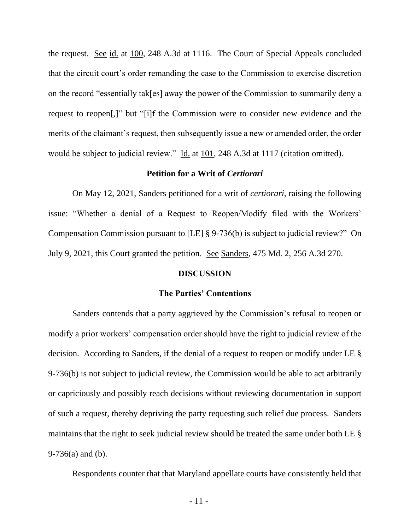the request. See id. at 100, 248 A.3d at 1116. The Court of Special Appeals concluded that the circuit court's order remanding the case to the Commission to exercise discretion on the record "essentially tak[es] away the power of the Commission to summarily deny a request to reopen[,]" but "[i]f the Commission were to consider new evidence and the merits of the claimant's request, then subsequently issue a new or amended order, the order would be subject to judicial review." Id. at 101, 248 A.3d at 1117 (citation omitted).

### **Petition for a Writ of** *Certiorari*

On May 12, 2021, Sanders petitioned for a writ of *certiorari*, raising the following issue: "Whether a denial of a Request to Reopen/Modify filed with the Workers' Compensation Commission pursuant to [LE] § 9-736(b) is subject to judicial review?" On July 9, 2021, this Court granted the petition. See Sanders, 475 Md. 2, 256 A.3d 270.

#### **DISCUSSION**

#### **The Parties' Contentions**

Sanders contends that a party aggrieved by the Commission's refusal to reopen or modify a prior workers' compensation order should have the right to judicial review of the decision. According to Sanders, if the denial of a request to reopen or modify under LE § 9-736(b) is not subject to judicial review, the Commission would be able to act arbitrarily or capriciously and possibly reach decisions without reviewing documentation in support of such a request, thereby depriving the party requesting such relief due process. Sanders maintains that the right to seek judicial review should be treated the same under both LE § 9-736(a) and (b).

Respondents counter that that Maryland appellate courts have consistently held that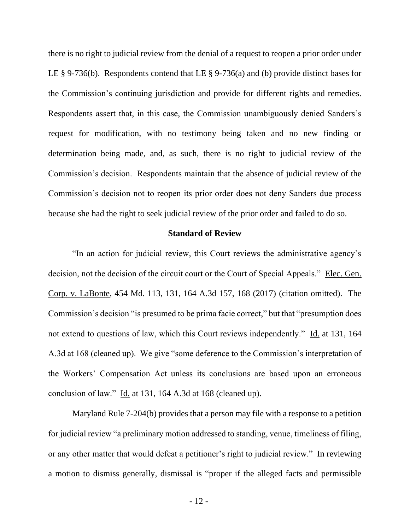there is no right to judicial review from the denial of a request to reopen a prior order under LE § 9-736(b). Respondents contend that LE § 9-736(a) and (b) provide distinct bases for the Commission's continuing jurisdiction and provide for different rights and remedies. Respondents assert that, in this case, the Commission unambiguously denied Sanders's request for modification, with no testimony being taken and no new finding or determination being made, and, as such, there is no right to judicial review of the Commission's decision. Respondents maintain that the absence of judicial review of the Commission's decision not to reopen its prior order does not deny Sanders due process because she had the right to seek judicial review of the prior order and failed to do so.

#### **Standard of Review**

"In an action for judicial review, this Court reviews the administrative agency's decision, not the decision of the circuit court or the Court of Special Appeals." Elec. Gen. Corp. v. LaBonte, 454 Md. 113, 131, 164 A.3d 157, 168 (2017) (citation omitted). The Commission's decision "is presumed to be prima facie correct," but that "presumption does not extend to questions of law, which this Court reviews independently." Id. at 131, 164 A.3d at 168 (cleaned up). We give "some deference to the Commission's interpretation of the Workers' Compensation Act unless its conclusions are based upon an erroneous conclusion of law." Id. at 131, 164 A.3d at 168 (cleaned up).

Maryland Rule 7-204(b) provides that a person may file with a response to a petition for judicial review "a preliminary motion addressed to standing, venue, timeliness of filing, or any other matter that would defeat a petitioner's right to judicial review." In reviewing a motion to dismiss generally, dismissal is "proper if the alleged facts and permissible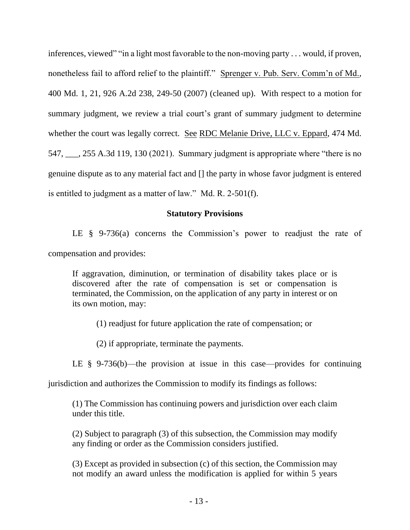inferences, viewed" "in a light most favorable to the non-moving party . . . would, if proven, nonetheless fail to afford relief to the plaintiff." Sprenger v. Pub. Serv. Comm'n of Md., 400 Md. 1, 21, 926 A.2d 238, 249-50 (2007) (cleaned up). With respect to a motion for summary judgment, we review a trial court's grant of summary judgment to determine whether the court was legally correct. See RDC Melanie Drive, LLC v. Eppard, 474 Md. 547, \_\_\_, 255 A.3d 119, 130 (2021). Summary judgment is appropriate where "there is no genuine dispute as to any material fact and [] the party in whose favor judgment is entered is entitled to judgment as a matter of law." Md. R. 2-501(f).

## **Statutory Provisions**

LE § 9-736(a) concerns the Commission's power to readjust the rate of compensation and provides:

If aggravation, diminution, or termination of disability takes place or is discovered after the rate of compensation is set or compensation is terminated, the Commission, on the application of any party in interest or on its own motion, may:

(1) readjust for future application the rate of compensation; or

(2) if appropriate, terminate the payments.

LE  $\S$  9-736(b)—the provision at issue in this case—provides for continuing

jurisdiction and authorizes the Commission to modify its findings as follows:

(1) The Commission has continuing powers and jurisdiction over each claim under this title.

(2) Subject to paragraph (3) of this subsection, the Commission may modify any finding or order as the Commission considers justified.

(3) Except as provided in subsection (c) of this section, the Commission may not modify an award unless the modification is applied for within 5 years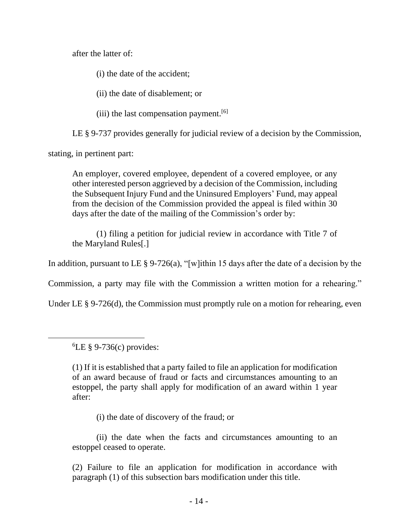after the latter of:

(i) the date of the accident;

(ii) the date of disablement; or

(iii) the last compensation payment.<sup>[6]</sup>

LE § 9-737 provides generally for judicial review of a decision by the Commission,

stating, in pertinent part:

An employer, covered employee, dependent of a covered employee, or any other interested person aggrieved by a decision of the Commission, including the Subsequent Injury Fund and the Uninsured Employers' Fund, may appeal from the decision of the Commission provided the appeal is filed within 30 days after the date of the mailing of the Commission's order by:

(1) filing a petition for judicial review in accordance with Title 7 of the Maryland Rules[.]

In addition, pursuant to LE  $\S 9-726(a)$ , "[w]ithin 15 days after the date of a decision by the

Commission, a party may file with the Commission a written motion for a rehearing."

Under LE § 9-726(d), the Commission must promptly rule on a motion for rehearing, even

 ${}^{6}$ LE § 9-736(c) provides:

(1) If it is established that a party failed to file an application for modification of an award because of fraud or facts and circumstances amounting to an estoppel, the party shall apply for modification of an award within 1 year after:

(i) the date of discovery of the fraud; or

(ii) the date when the facts and circumstances amounting to an estoppel ceased to operate.

(2) Failure to file an application for modification in accordance with paragraph (1) of this subsection bars modification under this title.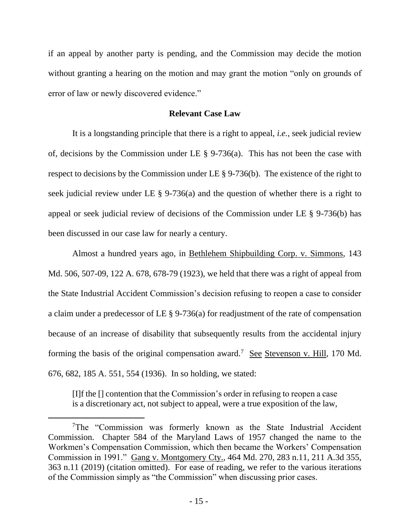if an appeal by another party is pending, and the Commission may decide the motion without granting a hearing on the motion and may grant the motion "only on grounds of error of law or newly discovered evidence."

### **Relevant Case Law**

It is a longstanding principle that there is a right to appeal, *i.e.*, seek judicial review of, decisions by the Commission under LE § 9-736(a). This has not been the case with respect to decisions by the Commission under LE § 9-736(b). The existence of the right to seek judicial review under LE  $\S$  9-736(a) and the question of whether there is a right to appeal or seek judicial review of decisions of the Commission under LE § 9-736(b) has been discussed in our case law for nearly a century.

Almost a hundred years ago, in Bethlehem Shipbuilding Corp. v. Simmons, 143 Md. 506, 507-09, 122 A. 678, 678-79 (1923), we held that there was a right of appeal from the State Industrial Accident Commission's decision refusing to reopen a case to consider a claim under a predecessor of LE § 9-736(a) for readjustment of the rate of compensation because of an increase of disability that subsequently results from the accidental injury forming the basis of the original compensation award.<sup>7</sup> See Stevenson v. Hill, 170 Md. 676, 682, 185 A. 551, 554 (1936). In so holding, we stated:

[I]f the [] contention that the Commission's order in refusing to reopen a case is a discretionary act, not subject to appeal, were a true exposition of the law,

<sup>&</sup>lt;sup>7</sup>The "Commission was formerly known as the State Industrial Accident Commission. Chapter 584 of the Maryland Laws of 1957 changed the name to the Workmen's Compensation Commission, which then became the Workers' Compensation Commission in 1991." Gang v. Montgomery Cty., 464 Md. 270, 283 n.11, 211 A.3d 355, 363 n.11 (2019) (citation omitted). For ease of reading, we refer to the various iterations of the Commission simply as "the Commission" when discussing prior cases.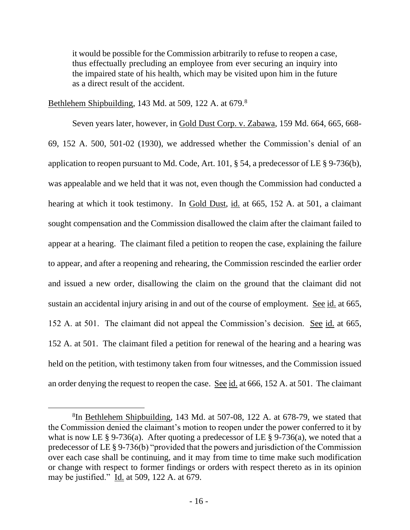it would be possible for the Commission arbitrarily to refuse to reopen a case, thus effectually precluding an employee from ever securing an inquiry into the impaired state of his health, which may be visited upon him in the future as a direct result of the accident.

Bethlehem Shipbuilding, 143 Md. at 509, 122 A. at 679.<sup>8</sup>

Seven years later, however, in Gold Dust Corp. v. Zabawa, 159 Md. 664, 665, 668-69, 152 A. 500, 501-02 (1930), we addressed whether the Commission's denial of an application to reopen pursuant to Md. Code, Art. 101, § 54, a predecessor of LE § 9-736(b), was appealable and we held that it was not, even though the Commission had conducted a hearing at which it took testimony. In Gold Dust, id. at 665, 152 A. at 501, a claimant sought compensation and the Commission disallowed the claim after the claimant failed to appear at a hearing. The claimant filed a petition to reopen the case, explaining the failure to appear, and after a reopening and rehearing, the Commission rescinded the earlier order and issued a new order, disallowing the claim on the ground that the claimant did not sustain an accidental injury arising in and out of the course of employment. See id. at 665, 152 A. at 501. The claimant did not appeal the Commission's decision. See id. at 665, 152 A. at 501. The claimant filed a petition for renewal of the hearing and a hearing was held on the petition, with testimony taken from four witnesses, and the Commission issued an order denying the request to reopen the case. See id. at 666, 152 A. at 501. The claimant

<sup>&</sup>lt;sup>8</sup>In Bethlehem Shipbuilding, 143 Md. at 507-08, 122 A. at 678-79, we stated that the Commission denied the claimant's motion to reopen under the power conferred to it by what is now LE  $\S 9-736(a)$ . After quoting a predecessor of LE  $\S 9-736(a)$ , we noted that a predecessor of LE § 9-736(b) "provided that the powers and jurisdiction of the Commission over each case shall be continuing, and it may from time to time make such modification or change with respect to former findings or orders with respect thereto as in its opinion may be justified." Id. at 509, 122 A. at 679.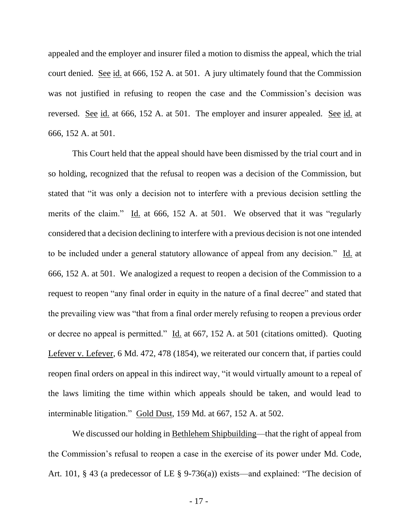appealed and the employer and insurer filed a motion to dismiss the appeal, which the trial court denied. See id. at 666, 152 A. at 501. A jury ultimately found that the Commission was not justified in refusing to reopen the case and the Commission's decision was reversed. See id. at 666, 152 A. at 501. The employer and insurer appealed. See id. at 666, 152 A. at 501.

This Court held that the appeal should have been dismissed by the trial court and in so holding, recognized that the refusal to reopen was a decision of the Commission, but stated that "it was only a decision not to interfere with a previous decision settling the merits of the claim." Id. at 666, 152 A. at 501. We observed that it was "regularly considered that a decision declining to interfere with a previous decision is not one intended to be included under a general statutory allowance of appeal from any decision." Id. at 666, 152 A. at 501. We analogized a request to reopen a decision of the Commission to a request to reopen "any final order in equity in the nature of a final decree" and stated that the prevailing view was "that from a final order merely refusing to reopen a previous order or decree no appeal is permitted." Id. at 667, 152 A. at 501 (citations omitted). Quoting Lefever v. Lefever, 6 Md. 472, 478 (1854), we reiterated our concern that, if parties could reopen final orders on appeal in this indirect way, "it would virtually amount to a repeal of the laws limiting the time within which appeals should be taken, and would lead to interminable litigation." Gold Dust, 159 Md. at 667, 152 A. at 502.

We discussed our holding in Bethlehem Shipbuilding—that the right of appeal from the Commission's refusal to reopen a case in the exercise of its power under Md. Code, Art. 101, § 43 (a predecessor of LE § 9-736(a)) exists—and explained: "The decision of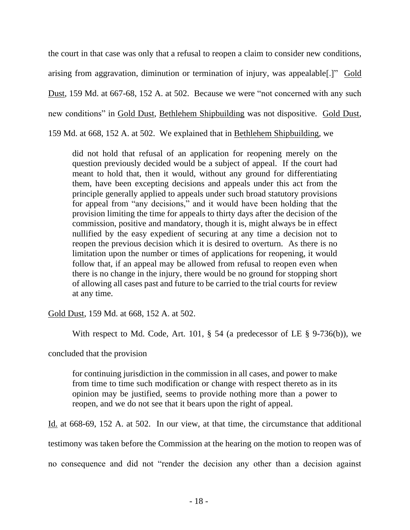the court in that case was only that a refusal to reopen a claim to consider new conditions, arising from aggravation, diminution or termination of injury, was appealable[.]" Gold Dust, 159 Md. at 667-68, 152 A. at 502. Because we were "not concerned with any such new conditions" in Gold Dust, Bethlehem Shipbuilding was not dispositive. Gold Dust, 159 Md. at 668, 152 A. at 502. We explained that in Bethlehem Shipbuilding, we

did not hold that refusal of an application for reopening merely on the question previously decided would be a subject of appeal. If the court had meant to hold that, then it would, without any ground for differentiating them, have been excepting decisions and appeals under this act from the principle generally applied to appeals under such broad statutory provisions for appeal from "any decisions," and it would have been holding that the provision limiting the time for appeals to thirty days after the decision of the commission, positive and mandatory, though it is, might always be in effect nullified by the easy expedient of securing at any time a decision not to reopen the previous decision which it is desired to overturn. As there is no limitation upon the number or times of applications for reopening, it would follow that, if an appeal may be allowed from refusal to reopen even when there is no change in the injury, there would be no ground for stopping short of allowing all cases past and future to be carried to the trial courts for review at any time.

Gold Dust, 159 Md. at 668, 152 A. at 502.

With respect to Md. Code, Art. 101, § 54 (a predecessor of LE § 9-736(b)), we

concluded that the provision

for continuing jurisdiction in the commission in all cases, and power to make from time to time such modification or change with respect thereto as in its opinion may be justified, seems to provide nothing more than a power to reopen, and we do not see that it bears upon the right of appeal.

Id. at 668-69, 152 A. at 502. In our view, at that time, the circumstance that additional

testimony was taken before the Commission at the hearing on the motion to reopen was of

no consequence and did not "render the decision any other than a decision against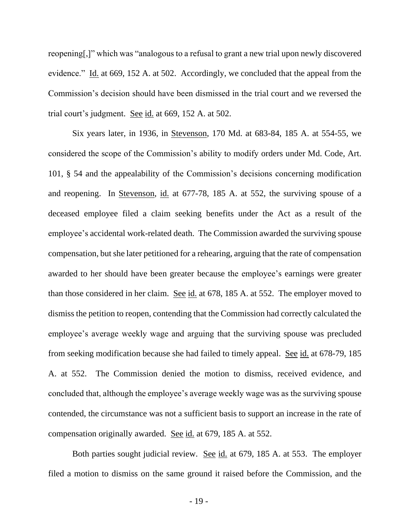reopening[,]" which was "analogous to a refusal to grant a new trial upon newly discovered evidence." Id. at 669, 152 A. at 502. Accordingly, we concluded that the appeal from the Commission's decision should have been dismissed in the trial court and we reversed the trial court's judgment. See id. at  $669$ , 152 A. at  $502$ .

Six years later, in 1936, in Stevenson, 170 Md. at 683-84, 185 A. at 554-55, we considered the scope of the Commission's ability to modify orders under Md. Code, Art. 101, § 54 and the appealability of the Commission's decisions concerning modification and reopening. In Stevenson, id. at 677-78, 185 A. at 552, the surviving spouse of a deceased employee filed a claim seeking benefits under the Act as a result of the employee's accidental work-related death. The Commission awarded the surviving spouse compensation, but she later petitioned for a rehearing, arguing that the rate of compensation awarded to her should have been greater because the employee's earnings were greater than those considered in her claim. See id. at 678, 185 A. at 552. The employer moved to dismiss the petition to reopen, contending that the Commission had correctly calculated the employee's average weekly wage and arguing that the surviving spouse was precluded from seeking modification because she had failed to timely appeal. See id. at 678-79, 185 A. at 552. The Commission denied the motion to dismiss, received evidence, and concluded that, although the employee's average weekly wage was as the surviving spouse contended, the circumstance was not a sufficient basis to support an increase in the rate of compensation originally awarded. See id. at 679, 185 A. at 552.

Both parties sought judicial review. See id. at 679, 185 A. at 553. The employer filed a motion to dismiss on the same ground it raised before the Commission, and the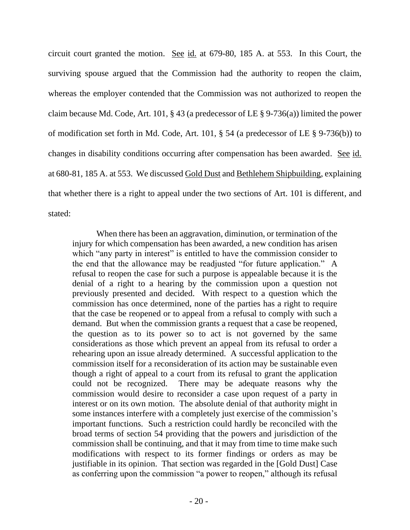circuit court granted the motion. See id. at 679-80, 185 A. at 553. In this Court, the surviving spouse argued that the Commission had the authority to reopen the claim, whereas the employer contended that the Commission was not authorized to reopen the claim because Md. Code, Art. 101, § 43 (a predecessor of LE § 9-736(a)) limited the power of modification set forth in Md. Code, Art. 101, § 54 (a predecessor of LE § 9-736(b)) to changes in disability conditions occurring after compensation has been awarded. See id. at 680-81, 185 A. at 553. We discussed Gold Dust and Bethlehem Shipbuilding, explaining that whether there is a right to appeal under the two sections of Art. 101 is different, and stated:

When there has been an aggravation, diminution, or termination of the injury for which compensation has been awarded, a new condition has arisen which "any party in interest" is entitled to have the commission consider to the end that the allowance may be readjusted "for future application." A refusal to reopen the case for such a purpose is appealable because it is the denial of a right to a hearing by the commission upon a question not previously presented and decided. With respect to a question which the commission has once determined, none of the parties has a right to require that the case be reopened or to appeal from a refusal to comply with such a demand. But when the commission grants a request that a case be reopened, the question as to its power so to act is not governed by the same considerations as those which prevent an appeal from its refusal to order a rehearing upon an issue already determined. A successful application to the commission itself for a reconsideration of its action may be sustainable even though a right of appeal to a court from its refusal to grant the application could not be recognized. There may be adequate reasons why the commission would desire to reconsider a case upon request of a party in interest or on its own motion. The absolute denial of that authority might in some instances interfere with a completely just exercise of the commission's important functions. Such a restriction could hardly be reconciled with the broad terms of section 54 providing that the powers and jurisdiction of the commission shall be continuing, and that it may from time to time make such modifications with respect to its former findings or orders as may be justifiable in its opinion. That section was regarded in the [Gold Dust] Case as conferring upon the commission "a power to reopen," although its refusal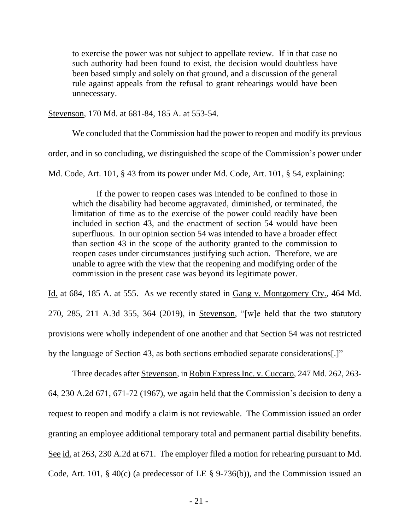to exercise the power was not subject to appellate review. If in that case no such authority had been found to exist, the decision would doubtless have been based simply and solely on that ground, and a discussion of the general rule against appeals from the refusal to grant rehearings would have been unnecessary.

Stevenson, 170 Md. at 681-84, 185 A. at 553-54.

We concluded that the Commission had the power to reopen and modify its previous order, and in so concluding, we distinguished the scope of the Commission's power under

Md. Code, Art. 101, § 43 from its power under Md. Code, Art. 101, § 54, explaining:

If the power to reopen cases was intended to be confined to those in which the disability had become aggravated, diminished, or terminated, the limitation of time as to the exercise of the power could readily have been included in section 43, and the enactment of section 54 would have been superfluous. In our opinion section 54 was intended to have a broader effect than section 43 in the scope of the authority granted to the commission to reopen cases under circumstances justifying such action. Therefore, we are unable to agree with the view that the reopening and modifying order of the commission in the present case was beyond its legitimate power.

Id. at 684, 185 A. at 555. As we recently stated in Gang v. Montgomery Cty., 464 Md. 270, 285, 211 A.3d 355, 364 (2019), in Stevenson, "[w]e held that the two statutory provisions were wholly independent of one another and that Section 54 was not restricted by the language of Section 43, as both sections embodied separate considerations[.]"

Three decades after Stevenson, in Robin Express Inc. v. Cuccaro, 247 Md. 262, 263- 64, 230 A.2d 671, 671-72 (1967), we again held that the Commission's decision to deny a request to reopen and modify a claim is not reviewable. The Commission issued an order granting an employee additional temporary total and permanent partial disability benefits. See id. at 263, 230 A.2d at 671. The employer filed a motion for rehearing pursuant to Md. Code, Art. 101, § 40(c) (a predecessor of LE § 9-736(b)), and the Commission issued an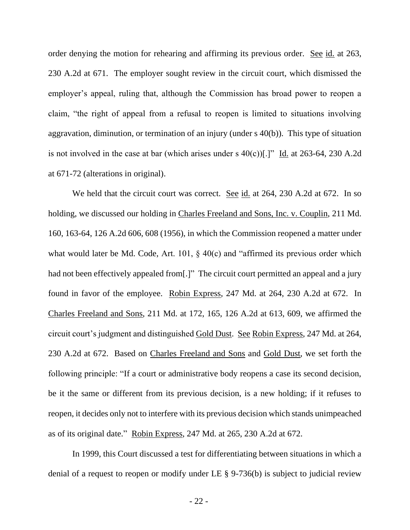order denying the motion for rehearing and affirming its previous order. See id. at 263, 230 A.2d at 671. The employer sought review in the circuit court, which dismissed the employer's appeal, ruling that, although the Commission has broad power to reopen a claim, "the right of appeal from a refusal to reopen is limited to situations involving aggravation, diminution, or termination of an injury (under s 40(b)). This type of situation is not involved in the case at bar (which arises under s  $40(c)$ )[.]" Id. at 263-64, 230 A.2d at 671-72 (alterations in original).

We held that the circuit court was correct. See id. at 264, 230 A.2d at 672. In so holding, we discussed our holding in Charles Freeland and Sons, Inc. v. Couplin, 211 Md. 160, 163-64, 126 A.2d 606, 608 (1956), in which the Commission reopened a matter under what would later be Md. Code, Art. 101, § 40(c) and "affirmed its previous order which had not been effectively appealed from [.]" The circuit court permitted an appeal and a jury found in favor of the employee. Robin Express, 247 Md. at 264, 230 A.2d at 672. In Charles Freeland and Sons, 211 Md. at 172, 165, 126 A.2d at 613, 609, we affirmed the circuit court's judgment and distinguished Gold Dust. See Robin Express, 247 Md. at 264, 230 A.2d at 672. Based on Charles Freeland and Sons and Gold Dust, we set forth the following principle: "If a court or administrative body reopens a case its second decision, be it the same or different from its previous decision, is a new holding; if it refuses to reopen, it decides only not to interfere with its previous decision which stands unimpeached as of its original date." Robin Express, 247 Md. at 265, 230 A.2d at 672.

In 1999, this Court discussed a test for differentiating between situations in which a denial of a request to reopen or modify under LE § 9-736(b) is subject to judicial review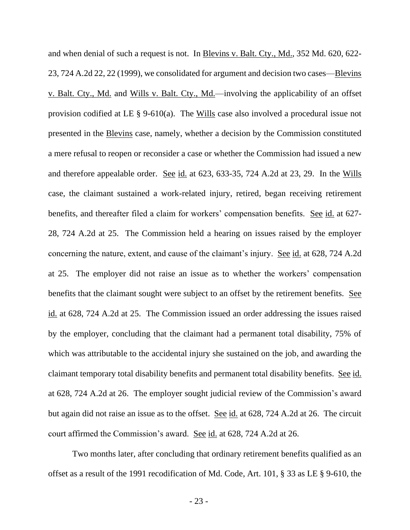and when denial of such a request is not. In Blevins v. Balt. Cty., Md., 352 Md. 620, 622- 23, 724 A.2d 22, 22 (1999), we consolidated for argument and decision two cases—Blevins v. Balt. Cty., Md. and Wills v. Balt. Cty., Md.—involving the applicability of an offset provision codified at LE § 9-610(a). The Wills case also involved a procedural issue not presented in the Blevins case, namely, whether a decision by the Commission constituted a mere refusal to reopen or reconsider a case or whether the Commission had issued a new and therefore appealable order. See id. at 623, 633-35, 724 A.2d at 23, 29. In the Wills case, the claimant sustained a work-related injury, retired, began receiving retirement benefits, and thereafter filed a claim for workers' compensation benefits. See id. at 627- 28, 724 A.2d at 25. The Commission held a hearing on issues raised by the employer concerning the nature, extent, and cause of the claimant's injury. See id. at 628, 724 A.2d at 25. The employer did not raise an issue as to whether the workers' compensation benefits that the claimant sought were subject to an offset by the retirement benefits. See id. at 628, 724 A.2d at 25. The Commission issued an order addressing the issues raised by the employer, concluding that the claimant had a permanent total disability, 75% of which was attributable to the accidental injury she sustained on the job, and awarding the claimant temporary total disability benefits and permanent total disability benefits. See id. at 628, 724 A.2d at 26. The employer sought judicial review of the Commission's award but again did not raise an issue as to the offset. See id. at 628, 724 A.2d at 26. The circuit court affirmed the Commission's award. See id. at 628, 724 A.2d at 26.

Two months later, after concluding that ordinary retirement benefits qualified as an offset as a result of the 1991 recodification of Md. Code, Art. 101, § 33 as LE § 9-610, the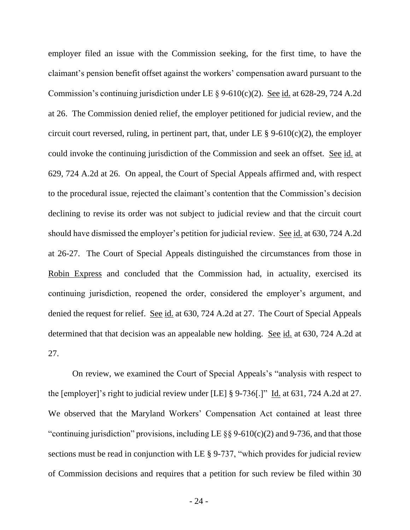employer filed an issue with the Commission seeking, for the first time, to have the claimant's pension benefit offset against the workers' compensation award pursuant to the Commission's continuing jurisdiction under LE  $\S$  9-610(c)(2). See id. at 628-29, 724 A.2d at 26. The Commission denied relief, the employer petitioned for judicial review, and the circuit court reversed, ruling, in pertinent part, that, under LE  $\S$  9-610(c)(2), the employer could invoke the continuing jurisdiction of the Commission and seek an offset. See id. at 629, 724 A.2d at 26. On appeal, the Court of Special Appeals affirmed and, with respect to the procedural issue, rejected the claimant's contention that the Commission's decision declining to revise its order was not subject to judicial review and that the circuit court should have dismissed the employer's petition for judicial review. See id. at 630, 724 A.2d at 26-27. The Court of Special Appeals distinguished the circumstances from those in Robin Express and concluded that the Commission had, in actuality, exercised its continuing jurisdiction, reopened the order, considered the employer's argument, and denied the request for relief. See id. at 630, 724 A.2d at 27. The Court of Special Appeals determined that that decision was an appealable new holding. See id. at 630, 724 A.2d at 27.

On review, we examined the Court of Special Appeals's "analysis with respect to the [employer]'s right to judicial review under [LE] § 9-736[.]" Id. at 631, 724 A.2d at 27. We observed that the Maryland Workers' Compensation Act contained at least three "continuing jurisdiction" provisions, including LE  $\S$ § 9-610(c)(2) and 9-736, and that those sections must be read in conjunction with LE § 9-737, "which provides for judicial review of Commission decisions and requires that a petition for such review be filed within 30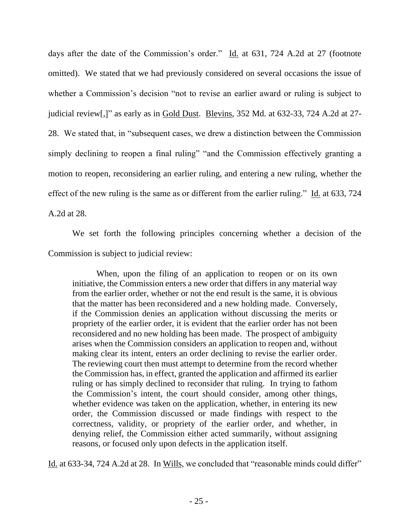days after the date of the Commission's order." Id. at 631, 724 A.2d at 27 (footnote omitted). We stated that we had previously considered on several occasions the issue of whether a Commission's decision "not to revise an earlier award or ruling is subject to judicial review[,]" as early as in Gold Dust. Blevins, 352 Md. at 632-33, 724 A.2d at 27- 28. We stated that, in "subsequent cases, we drew a distinction between the Commission simply declining to reopen a final ruling" "and the Commission effectively granting a motion to reopen, reconsidering an earlier ruling, and entering a new ruling, whether the effect of the new ruling is the same as or different from the earlier ruling." Id. at 633, 724 A.2d at 28.

We set forth the following principles concerning whether a decision of the Commission is subject to judicial review:

When, upon the filing of an application to reopen or on its own initiative, the Commission enters a new order that differs in any material way from the earlier order, whether or not the end result is the same, it is obvious that the matter has been reconsidered and a new holding made. Conversely, if the Commission denies an application without discussing the merits or propriety of the earlier order, it is evident that the earlier order has not been reconsidered and no new holding has been made. The prospect of ambiguity arises when the Commission considers an application to reopen and, without making clear its intent, enters an order declining to revise the earlier order. The reviewing court then must attempt to determine from the record whether the Commission has, in effect, granted the application and affirmed its earlier ruling or has simply declined to reconsider that ruling. In trying to fathom the Commission's intent, the court should consider, among other things, whether evidence was taken on the application, whether, in entering its new order, the Commission discussed or made findings with respect to the correctness, validity, or propriety of the earlier order, and whether, in denying relief, the Commission either acted summarily, without assigning reasons, or focused only upon defects in the application itself.

Id. at 633-34, 724 A.2d at 28. In Wills, we concluded that "reasonable minds could differ"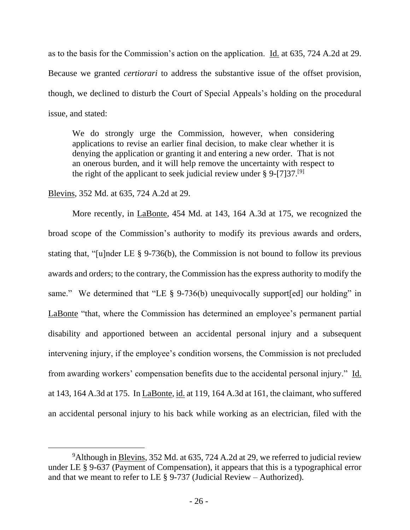as to the basis for the Commission's action on the application. Id. at 635, 724 A.2d at 29. Because we granted *certiorari* to address the substantive issue of the offset provision, though, we declined to disturb the Court of Special Appeals's holding on the procedural issue, and stated:

We do strongly urge the Commission, however, when considering applications to revise an earlier final decision, to make clear whether it is denying the application or granting it and entering a new order. That is not an onerous burden, and it will help remove the uncertainty with respect to the right of the applicant to seek judicial review under  $\S 9$ -[7]37.<sup>[9]</sup>

## Blevins, 352 Md. at 635, 724 A.2d at 29.

More recently, in LaBonte, 454 Md. at 143, 164 A.3d at 175, we recognized the broad scope of the Commission's authority to modify its previous awards and orders, stating that, "[u]nder LE § 9-736(b), the Commission is not bound to follow its previous awards and orders; to the contrary, the Commission has the express authority to modify the same." We determined that "LE § 9-736(b) unequivocally support [ed] our holding" in LaBonte "that, where the Commission has determined an employee's permanent partial disability and apportioned between an accidental personal injury and a subsequent intervening injury, if the employee's condition worsens, the Commission is not precluded from awarding workers' compensation benefits due to the accidental personal injury." Id. at 143, 164 A.3d at 175. In LaBonte, id. at 119, 164 A.3d at 161, the claimant, who suffered an accidental personal injury to his back while working as an electrician, filed with the

<sup>&</sup>lt;sup>9</sup>Although in Blevins, 352 Md. at 635, 724 A.2d at 29, we referred to judicial review under LE § 9-637 (Payment of Compensation), it appears that this is a typographical error and that we meant to refer to LE  $\S$  9-737 (Judicial Review – Authorized).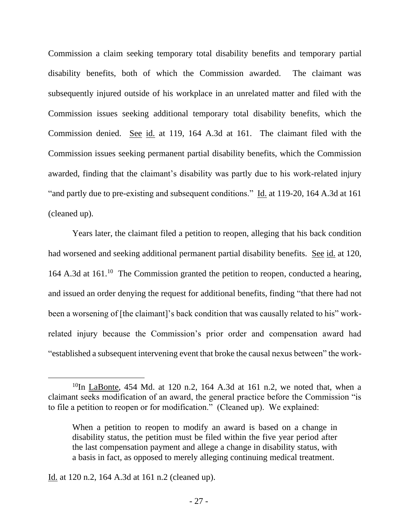Commission a claim seeking temporary total disability benefits and temporary partial disability benefits, both of which the Commission awarded. The claimant was subsequently injured outside of his workplace in an unrelated matter and filed with the Commission issues seeking additional temporary total disability benefits, which the Commission denied. See id. at 119, 164 A.3d at 161. The claimant filed with the Commission issues seeking permanent partial disability benefits, which the Commission awarded, finding that the claimant's disability was partly due to his work-related injury "and partly due to pre-existing and subsequent conditions." Id. at 119-20, 164 A.3d at 161 (cleaned up).

Years later, the claimant filed a petition to reopen, alleging that his back condition had worsened and seeking additional permanent partial disability benefits. See id. at 120, 164 A.3d at 161.<sup>10</sup> The Commission granted the petition to reopen, conducted a hearing, and issued an order denying the request for additional benefits, finding "that there had not been a worsening of [the claimant]'s back condition that was causally related to his" workrelated injury because the Commission's prior order and compensation award had "established a subsequent intervening event that broke the causal nexus between" the work-

<sup>&</sup>lt;sup>10</sup>In LaBonte, 454 Md. at 120 n.2, 164 A.3d at 161 n.2, we noted that, when a claimant seeks modification of an award, the general practice before the Commission "is to file a petition to reopen or for modification." (Cleaned up). We explained:

When a petition to reopen to modify an award is based on a change in disability status, the petition must be filed within the five year period after the last compensation payment and allege a change in disability status, with a basis in fact, as opposed to merely alleging continuing medical treatment.

Id. at 120 n.2, 164 A.3d at 161 n.2 (cleaned up).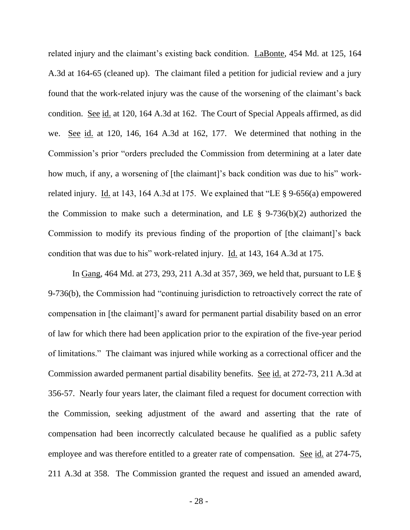related injury and the claimant's existing back condition. LaBonte, 454 Md. at 125, 164 A.3d at 164-65 (cleaned up). The claimant filed a petition for judicial review and a jury found that the work-related injury was the cause of the worsening of the claimant's back condition. See id. at 120, 164 A.3d at 162. The Court of Special Appeals affirmed, as did we. See id. at 120, 146, 164 A.3d at 162, 177. We determined that nothing in the Commission's prior "orders precluded the Commission from determining at a later date how much, if any, a worsening of [the claimant]'s back condition was due to his" workrelated injury. Id. at 143, 164 A.3d at 175. We explained that "LE § 9-656(a) empowered the Commission to make such a determination, and LE  $\S$  9-736(b)(2) authorized the Commission to modify its previous finding of the proportion of [the claimant]'s back condition that was due to his" work-related injury. Id. at 143, 164 A.3d at 175.

In Gang, 464 Md. at 273, 293, 211 A.3d at 357, 369, we held that, pursuant to LE § 9-736(b), the Commission had "continuing jurisdiction to retroactively correct the rate of compensation in [the claimant]'s award for permanent partial disability based on an error of law for which there had been application prior to the expiration of the five-year period of limitations." The claimant was injured while working as a correctional officer and the Commission awarded permanent partial disability benefits. See id. at 272-73, 211 A.3d at 356-57. Nearly four years later, the claimant filed a request for document correction with the Commission, seeking adjustment of the award and asserting that the rate of compensation had been incorrectly calculated because he qualified as a public safety employee and was therefore entitled to a greater rate of compensation. See id. at 274-75, 211 A.3d at 358. The Commission granted the request and issued an amended award,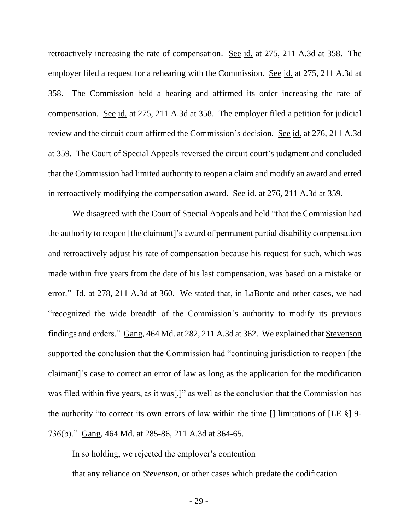retroactively increasing the rate of compensation. See id. at 275, 211 A.3d at 358. The employer filed a request for a rehearing with the Commission. See id. at 275, 211 A.3d at 358. The Commission held a hearing and affirmed its order increasing the rate of compensation. See id. at 275, 211 A.3d at 358. The employer filed a petition for judicial review and the circuit court affirmed the Commission's decision. See id. at 276, 211 A.3d at 359. The Court of Special Appeals reversed the circuit court's judgment and concluded that the Commission had limited authority to reopen a claim and modify an award and erred in retroactively modifying the compensation award. See id. at 276, 211 A.3d at 359.

We disagreed with the Court of Special Appeals and held "that the Commission had the authority to reopen [the claimant]'s award of permanent partial disability compensation and retroactively adjust his rate of compensation because his request for such, which was made within five years from the date of his last compensation, was based on a mistake or error." Id. at 278, 211 A.3d at 360. We stated that, in LaBonte and other cases, we had "recognized the wide breadth of the Commission's authority to modify its previous findings and orders." Gang, 464 Md. at 282, 211 A.3d at 362. We explained that Stevenson supported the conclusion that the Commission had "continuing jurisdiction to reopen [the claimant]'s case to correct an error of law as long as the application for the modification was filed within five years, as it was[,]" as well as the conclusion that the Commission has the authority "to correct its own errors of law within the time  $\Box$  limitations of  $[LE \S]$  9-736(b)." Gang, 464 Md. at 285-86, 211 A.3d at 364-65.

In so holding, we rejected the employer's contention that any reliance on *Stevenson*, or other cases which predate the codification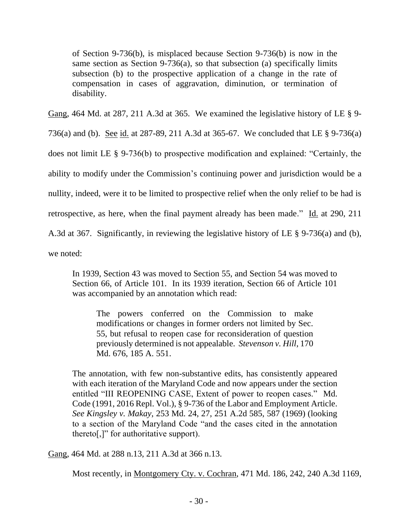of Section 9-736(b), is misplaced because Section 9-736(b) is now in the same section as Section 9-736(a), so that subsection (a) specifically limits subsection (b) to the prospective application of a change in the rate of compensation in cases of aggravation, diminution, or termination of disability.

Gang, 464 Md. at 287, 211 A.3d at 365. We examined the legislative history of LE § 9-

736(a) and (b). See id. at 287-89, 211 A.3d at 365-67. We concluded that LE § 9-736(a)

does not limit LE § 9-736(b) to prospective modification and explained: "Certainly, the

ability to modify under the Commission's continuing power and jurisdiction would be a

nullity, indeed, were it to be limited to prospective relief when the only relief to be had is

retrospective, as here, when the final payment already has been made." Id. at 290, 211

A.3d at 367. Significantly, in reviewing the legislative history of LE § 9-736(a) and (b),

we noted:

In 1939, Section 43 was moved to Section 55, and Section 54 was moved to Section 66, of Article 101. In its 1939 iteration, Section 66 of Article 101 was accompanied by an annotation which read:

The powers conferred on the Commission to make modifications or changes in former orders not limited by Sec. 55, but refusal to reopen case for reconsideration of question previously determined is not appealable. *Stevenson v. Hill*, 170 Md. 676, 185 A. 551.

The annotation, with few non-substantive edits, has consistently appeared with each iteration of the Maryland Code and now appears under the section entitled "III REOPENING CASE, Extent of power to reopen cases." Md. Code (1991, 2016 Repl. Vol.), § 9-736 of the Labor and Employment Article. *See Kingsley v. Makay*, 253 Md. 24, 27, 251 A.2d 585, 587 (1969) (looking to a section of the Maryland Code "and the cases cited in the annotation thereto[,]" for authoritative support).

Gang, 464 Md. at 288 n.13, 211 A.3d at 366 n.13.

Most recently, in Montgomery Cty. v. Cochran, 471 Md. 186, 242, 240 A.3d 1169,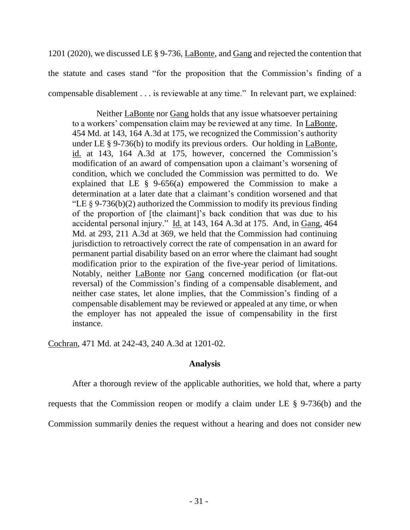1201 (2020), we discussed LE § 9-736, LaBonte, and Gang and rejected the contention that the statute and cases stand "for the proposition that the Commission's finding of a compensable disablement . . . is reviewable at any time." In relevant part, we explained:

Neither LaBonte nor Gang holds that any issue whatsoever pertaining to a workers' compensation claim may be reviewed at any time. In LaBonte, 454 Md. at 143, 164 A.3d at 175, we recognized the Commission's authority under LE § 9-736(b) to modify its previous orders. Our holding in LaBonte, id. at 143, 164 A.3d at 175, however, concerned the Commission's modification of an award of compensation upon a claimant's worsening of condition, which we concluded the Commission was permitted to do. We explained that LE  $\S$  9-656(a) empowered the Commission to make a determination at a later date that a claimant's condition worsened and that "LE  $\S 9-736(b)(2)$  authorized the Commission to modify its previous finding of the proportion of [the claimant]'s back condition that was due to his accidental personal injury." Id. at 143, 164 A.3d at 175. And, in Gang, 464 Md. at 293, 211 A.3d at 369, we held that the Commission had continuing jurisdiction to retroactively correct the rate of compensation in an award for permanent partial disability based on an error where the claimant had sought modification prior to the expiration of the five-year period of limitations. Notably, neither LaBonte nor Gang concerned modification (or flat-out reversal) of the Commission's finding of a compensable disablement, and neither case states, let alone implies, that the Commission's finding of a compensable disablement may be reviewed or appealed at any time, or when the employer has not appealed the issue of compensability in the first instance.

Cochran, 471 Md. at 242-43, 240 A.3d at 1201-02.

# **Analysis**

After a thorough review of the applicable authorities, we hold that, where a party

requests that the Commission reopen or modify a claim under LE § 9-736(b) and the

Commission summarily denies the request without a hearing and does not consider new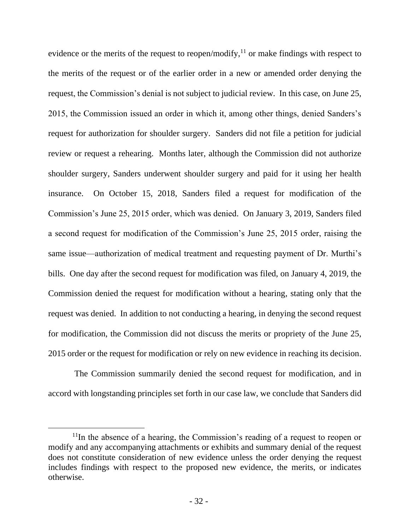evidence or the merits of the request to reopen/modify, $^{11}$  or make findings with respect to the merits of the request or of the earlier order in a new or amended order denying the request, the Commission's denial is not subject to judicial review. In this case, on June 25, 2015, the Commission issued an order in which it, among other things, denied Sanders's request for authorization for shoulder surgery. Sanders did not file a petition for judicial review or request a rehearing. Months later, although the Commission did not authorize shoulder surgery, Sanders underwent shoulder surgery and paid for it using her health insurance. On October 15, 2018, Sanders filed a request for modification of the Commission's June 25, 2015 order, which was denied. On January 3, 2019, Sanders filed a second request for modification of the Commission's June 25, 2015 order, raising the same issue—authorization of medical treatment and requesting payment of Dr. Murthi's bills. One day after the second request for modification was filed, on January 4, 2019, the Commission denied the request for modification without a hearing, stating only that the request was denied. In addition to not conducting a hearing, in denying the second request for modification, the Commission did not discuss the merits or propriety of the June 25, 2015 order or the request for modification or rely on new evidence in reaching its decision.

The Commission summarily denied the second request for modification, and in accord with longstanding principles set forth in our case law, we conclude that Sanders did

 $11$ In the absence of a hearing, the Commission's reading of a request to reopen or modify and any accompanying attachments or exhibits and summary denial of the request does not constitute consideration of new evidence unless the order denying the request includes findings with respect to the proposed new evidence, the merits, or indicates otherwise.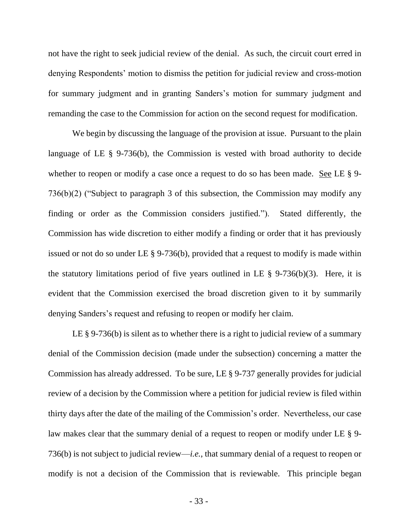not have the right to seek judicial review of the denial. As such, the circuit court erred in denying Respondents' motion to dismiss the petition for judicial review and cross-motion for summary judgment and in granting Sanders's motion for summary judgment and remanding the case to the Commission for action on the second request for modification.

We begin by discussing the language of the provision at issue. Pursuant to the plain language of LE § 9-736(b), the Commission is vested with broad authority to decide whether to reopen or modify a case once a request to do so has been made. See LE § 9-736(b)(2) ("Subject to paragraph 3 of this subsection, the Commission may modify any finding or order as the Commission considers justified."). Stated differently, the Commission has wide discretion to either modify a finding or order that it has previously issued or not do so under LE § 9-736(b), provided that a request to modify is made within the statutory limitations period of five years outlined in LE  $\S$  9-736(b)(3). Here, it is evident that the Commission exercised the broad discretion given to it by summarily denying Sanders's request and refusing to reopen or modify her claim.

LE § 9-736(b) is silent as to whether there is a right to judicial review of a summary denial of the Commission decision (made under the subsection) concerning a matter the Commission has already addressed. To be sure, LE § 9-737 generally provides for judicial review of a decision by the Commission where a petition for judicial review is filed within thirty days after the date of the mailing of the Commission's order. Nevertheless, our case law makes clear that the summary denial of a request to reopen or modify under LE § 9- 736(b) is not subject to judicial review—*i.e.*, that summary denial of a request to reopen or modify is not a decision of the Commission that is reviewable. This principle began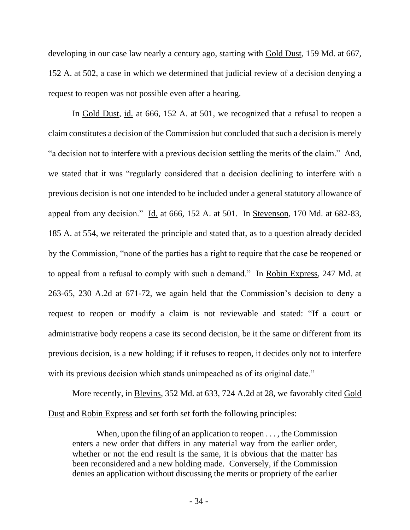developing in our case law nearly a century ago, starting with Gold Dust, 159 Md. at 667, 152 A. at 502, a case in which we determined that judicial review of a decision denying a request to reopen was not possible even after a hearing.

In Gold Dust, id. at 666, 152 A. at 501, we recognized that a refusal to reopen a claim constitutes a decision of the Commission but concluded that such a decision is merely "a decision not to interfere with a previous decision settling the merits of the claim." And, we stated that it was "regularly considered that a decision declining to interfere with a previous decision is not one intended to be included under a general statutory allowance of appeal from any decision." Id. at 666, 152 A. at 501. In Stevenson, 170 Md. at 682-83, 185 A. at 554, we reiterated the principle and stated that, as to a question already decided by the Commission, "none of the parties has a right to require that the case be reopened or to appeal from a refusal to comply with such a demand." In Robin Express, 247 Md. at 263-65, 230 A.2d at 671-72, we again held that the Commission's decision to deny a request to reopen or modify a claim is not reviewable and stated: "If a court or administrative body reopens a case its second decision, be it the same or different from its previous decision, is a new holding; if it refuses to reopen, it decides only not to interfere with its previous decision which stands unimpeached as of its original date."

More recently, in Blevins, 352 Md. at 633, 724 A.2d at 28, we favorably cited Gold Dust and Robin Express and set forth set forth the following principles:

When, upon the filing of an application to reopen . . . , the Commission enters a new order that differs in any material way from the earlier order, whether or not the end result is the same, it is obvious that the matter has been reconsidered and a new holding made. Conversely, if the Commission denies an application without discussing the merits or propriety of the earlier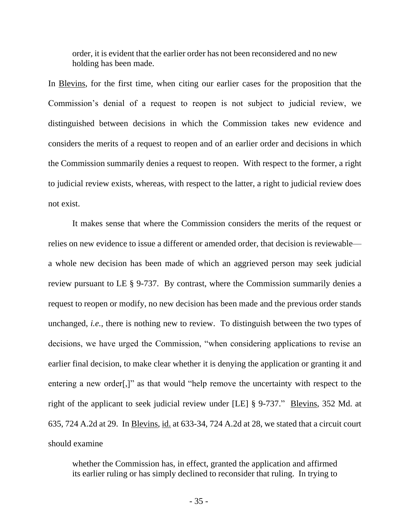order, it is evident that the earlier order has not been reconsidered and no new holding has been made.

In Blevins, for the first time, when citing our earlier cases for the proposition that the Commission's denial of a request to reopen is not subject to judicial review, we distinguished between decisions in which the Commission takes new evidence and considers the merits of a request to reopen and of an earlier order and decisions in which the Commission summarily denies a request to reopen. With respect to the former, a right to judicial review exists, whereas, with respect to the latter, a right to judicial review does not exist.

It makes sense that where the Commission considers the merits of the request or relies on new evidence to issue a different or amended order, that decision is reviewable a whole new decision has been made of which an aggrieved person may seek judicial review pursuant to LE § 9-737. By contrast, where the Commission summarily denies a request to reopen or modify, no new decision has been made and the previous order stands unchanged, *i.e.*, there is nothing new to review. To distinguish between the two types of decisions, we have urged the Commission, "when considering applications to revise an earlier final decision, to make clear whether it is denying the application or granting it and entering a new order[,]" as that would "help remove the uncertainty with respect to the right of the applicant to seek judicial review under [LE] § 9-737." Blevins, 352 Md. at 635, 724 A.2d at 29. In Blevins, id. at 633-34, 724 A.2d at 28, we stated that a circuit court should examine

whether the Commission has, in effect, granted the application and affirmed its earlier ruling or has simply declined to reconsider that ruling. In trying to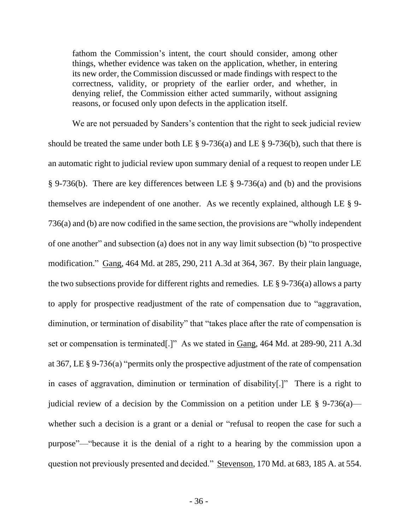fathom the Commission's intent, the court should consider, among other things, whether evidence was taken on the application, whether, in entering its new order, the Commission discussed or made findings with respect to the correctness, validity, or propriety of the earlier order, and whether, in denying relief, the Commission either acted summarily, without assigning reasons, or focused only upon defects in the application itself.

We are not persuaded by Sanders's contention that the right to seek judicial review should be treated the same under both LE  $\S 9-736(a)$  and LE  $\S 9-736(b)$ , such that there is an automatic right to judicial review upon summary denial of a request to reopen under LE § 9-736(b). There are key differences between LE § 9-736(a) and (b) and the provisions themselves are independent of one another. As we recently explained, although LE § 9- 736(a) and (b) are now codified in the same section, the provisions are "wholly independent of one another" and subsection (a) does not in any way limit subsection (b) "to prospective modification." Gang, 464 Md. at 285, 290, 211 A.3d at 364, 367. By their plain language, the two subsections provide for different rights and remedies. LE § 9-736(a) allows a party to apply for prospective readjustment of the rate of compensation due to "aggravation, diminution, or termination of disability" that "takes place after the rate of compensation is set or compensation is terminated[.]" As we stated in Gang, 464 Md. at 289-90, 211 A.3d at 367, LE § 9-736(a) "permits only the prospective adjustment of the rate of compensation in cases of aggravation, diminution or termination of disability[.]" There is a right to judicial review of a decision by the Commission on a petition under LE  $\S$  9-736(a) whether such a decision is a grant or a denial or "refusal to reopen the case for such a purpose"—"because it is the denial of a right to a hearing by the commission upon a question not previously presented and decided." Stevenson, 170 Md. at 683, 185 A. at 554.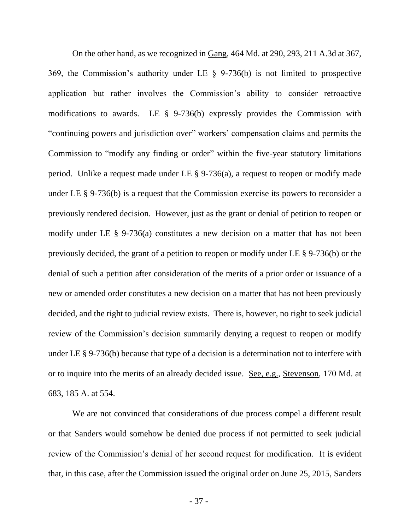On the other hand, as we recognized in Gang, 464 Md. at 290, 293, 211 A.3d at 367, 369, the Commission's authority under LE § 9-736(b) is not limited to prospective application but rather involves the Commission's ability to consider retroactive modifications to awards. LE § 9-736(b) expressly provides the Commission with "continuing powers and jurisdiction over" workers' compensation claims and permits the Commission to "modify any finding or order" within the five-year statutory limitations period. Unlike a request made under LE § 9-736(a), a request to reopen or modify made under LE § 9-736(b) is a request that the Commission exercise its powers to reconsider a previously rendered decision. However, just as the grant or denial of petition to reopen or modify under LE § 9-736(a) constitutes a new decision on a matter that has not been previously decided, the grant of a petition to reopen or modify under LE § 9-736(b) or the denial of such a petition after consideration of the merits of a prior order or issuance of a new or amended order constitutes a new decision on a matter that has not been previously decided, and the right to judicial review exists. There is, however, no right to seek judicial review of the Commission's decision summarily denying a request to reopen or modify under LE § 9-736(b) because that type of a decision is a determination not to interfere with or to inquire into the merits of an already decided issue. See, e.g., Stevenson, 170 Md. at 683, 185 A. at 554.

We are not convinced that considerations of due process compel a different result or that Sanders would somehow be denied due process if not permitted to seek judicial review of the Commission's denial of her second request for modification. It is evident that, in this case, after the Commission issued the original order on June 25, 2015, Sanders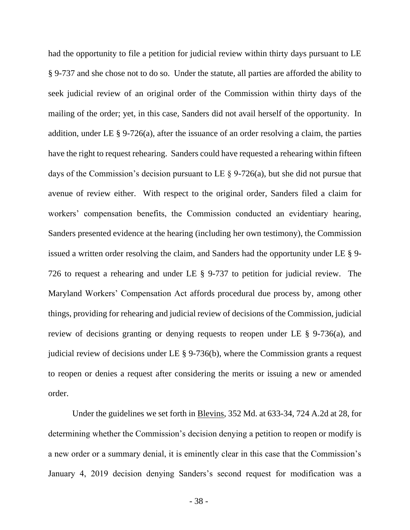had the opportunity to file a petition for judicial review within thirty days pursuant to LE § 9-737 and she chose not to do so. Under the statute, all parties are afforded the ability to seek judicial review of an original order of the Commission within thirty days of the mailing of the order; yet, in this case, Sanders did not avail herself of the opportunity. In addition, under LE § 9-726(a), after the issuance of an order resolving a claim, the parties have the right to request rehearing. Sanders could have requested a rehearing within fifteen days of the Commission's decision pursuant to LE § 9-726(a), but she did not pursue that avenue of review either. With respect to the original order, Sanders filed a claim for workers' compensation benefits, the Commission conducted an evidentiary hearing, Sanders presented evidence at the hearing (including her own testimony), the Commission issued a written order resolving the claim, and Sanders had the opportunity under LE § 9- 726 to request a rehearing and under LE § 9-737 to petition for judicial review. The Maryland Workers' Compensation Act affords procedural due process by, among other things, providing for rehearing and judicial review of decisions of the Commission, judicial review of decisions granting or denying requests to reopen under LE § 9-736(a), and judicial review of decisions under LE § 9-736(b), where the Commission grants a request to reopen or denies a request after considering the merits or issuing a new or amended order.

Under the guidelines we set forth in Blevins, 352 Md. at 633-34, 724 A.2d at 28, for determining whether the Commission's decision denying a petition to reopen or modify is a new order or a summary denial, it is eminently clear in this case that the Commission's January 4, 2019 decision denying Sanders's second request for modification was a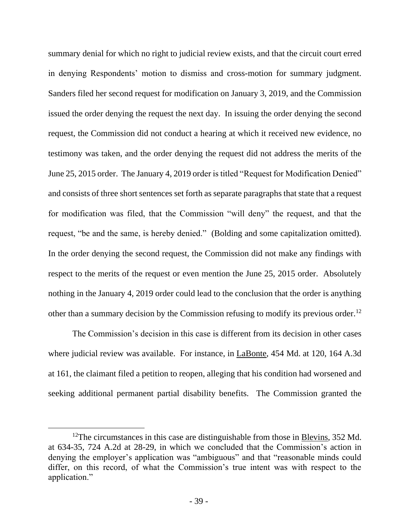summary denial for which no right to judicial review exists, and that the circuit court erred in denying Respondents' motion to dismiss and cross-motion for summary judgment. Sanders filed her second request for modification on January 3, 2019, and the Commission issued the order denying the request the next day. In issuing the order denying the second request, the Commission did not conduct a hearing at which it received new evidence, no testimony was taken, and the order denying the request did not address the merits of the June 25, 2015 order. The January 4, 2019 order is titled "Request for Modification Denied" and consists of three short sentences set forth as separate paragraphs that state that a request for modification was filed, that the Commission "will deny" the request, and that the request, "be and the same, is hereby denied." (Bolding and some capitalization omitted). In the order denying the second request, the Commission did not make any findings with respect to the merits of the request or even mention the June 25, 2015 order. Absolutely nothing in the January 4, 2019 order could lead to the conclusion that the order is anything other than a summary decision by the Commission refusing to modify its previous order.<sup>12</sup>

The Commission's decision in this case is different from its decision in other cases where judicial review was available. For instance, in LaBonte, 454 Md. at 120, 164 A.3d at 161, the claimant filed a petition to reopen, alleging that his condition had worsened and seeking additional permanent partial disability benefits. The Commission granted the

<sup>&</sup>lt;sup>12</sup>The circumstances in this case are distinguishable from those in <u>Blevins</u>, 352 Md. at 634-35, 724 A.2d at 28-29, in which we concluded that the Commission's action in denying the employer's application was "ambiguous" and that "reasonable minds could differ, on this record, of what the Commission's true intent was with respect to the application."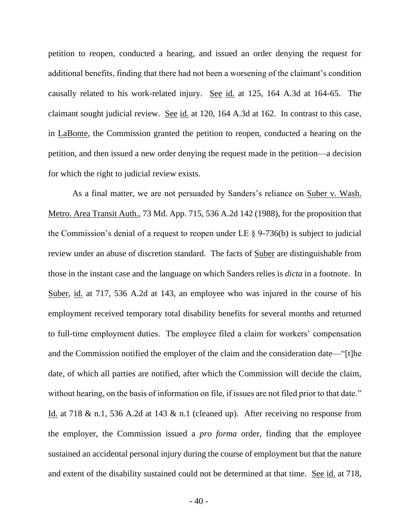petition to reopen, conducted a hearing, and issued an order denying the request for additional benefits, finding that there had not been a worsening of the claimant's condition causally related to his work-related injury. See id. at 125, 164 A.3d at 164-65. The claimant sought judicial review. See id. at 120, 164 A.3d at 162. In contrast to this case, in LaBonte, the Commission granted the petition to reopen, conducted a hearing on the petition, and then issued a new order denying the request made in the petition—a decision for which the right to judicial review exists.

As a final matter, we are not persuaded by Sanders's reliance on Suber v. Wash. Metro. Area Transit Auth., 73 Md. App. 715, 536 A.2d 142 (1988), for the proposition that the Commission's denial of a request to reopen under LE  $\S$  9-736(b) is subject to judicial review under an abuse of discretion standard. The facts of Suber are distinguishable from those in the instant case and the language on which Sanders relies is *dicta* in a footnote. In Suber, id. at 717, 536 A.2d at 143, an employee who was injured in the course of his employment received temporary total disability benefits for several months and returned to full-time employment duties. The employee filed a claim for workers' compensation and the Commission notified the employer of the claim and the consideration date—"[t]he date, of which all parties are notified, after which the Commission will decide the claim, without hearing, on the basis of information on file, if issues are not filed prior to that date." Id. at 718 & n.1, 536 A.2d at 143 & n.1 (cleaned up). After receiving no response from the employer, the Commission issued a *pro forma* order, finding that the employee sustained an accidental personal injury during the course of employment but that the nature and extent of the disability sustained could not be determined at that time. See id. at 718,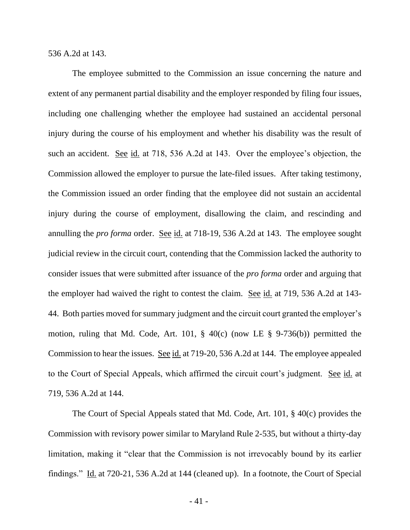536 A.2d at 143.

The employee submitted to the Commission an issue concerning the nature and extent of any permanent partial disability and the employer responded by filing four issues, including one challenging whether the employee had sustained an accidental personal injury during the course of his employment and whether his disability was the result of such an accident. See id. at 718, 536 A.2d at 143. Over the employee's objection, the Commission allowed the employer to pursue the late-filed issues. After taking testimony, the Commission issued an order finding that the employee did not sustain an accidental injury during the course of employment, disallowing the claim, and rescinding and annulling the *pro forma* order. See id. at 718-19, 536 A.2d at 143. The employee sought judicial review in the circuit court, contending that the Commission lacked the authority to consider issues that were submitted after issuance of the *pro forma* order and arguing that the employer had waived the right to contest the claim. See id. at 719, 536 A.2d at 143-44. Both parties moved for summary judgment and the circuit court granted the employer's motion, ruling that Md. Code, Art. 101, § 40(c) (now LE § 9-736(b)) permitted the Commission to hear the issues. See id. at 719-20, 536 A.2d at 144. The employee appealed to the Court of Special Appeals, which affirmed the circuit court's judgment. See id. at 719, 536 A.2d at 144.

The Court of Special Appeals stated that Md. Code, Art. 101, § 40(c) provides the Commission with revisory power similar to Maryland Rule 2-535, but without a thirty-day limitation, making it "clear that the Commission is not irrevocably bound by its earlier findings." Id. at 720-21, 536 A.2d at 144 (cleaned up). In a footnote, the Court of Special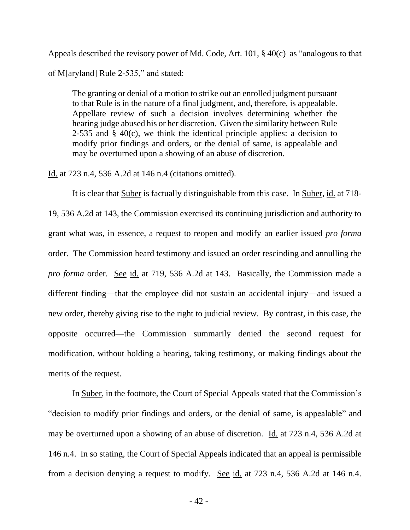Appeals described the revisory power of Md. Code, Art. 101, § 40(c) as "analogous to that of M[aryland] Rule 2-535," and stated:

The granting or denial of a motion to strike out an enrolled judgment pursuant to that Rule is in the nature of a final judgment, and, therefore, is appealable. Appellate review of such a decision involves determining whether the hearing judge abused his or her discretion. Given the similarity between Rule 2-535 and  $\S$  40(c), we think the identical principle applies: a decision to modify prior findings and orders, or the denial of same, is appealable and may be overturned upon a showing of an abuse of discretion.

Id. at 723 n.4, 536 A.2d at 146 n.4 (citations omitted).

It is clear that Suber is factually distinguishable from this case. In Suber, id. at 718- 19, 536 A.2d at 143, the Commission exercised its continuing jurisdiction and authority to grant what was, in essence, a request to reopen and modify an earlier issued *pro forma* order. The Commission heard testimony and issued an order rescinding and annulling the *pro forma* order. See id. at 719, 536 A.2d at 143. Basically, the Commission made a different finding—that the employee did not sustain an accidental injury—and issued a new order, thereby giving rise to the right to judicial review. By contrast, in this case, the opposite occurred—the Commission summarily denied the second request for modification, without holding a hearing, taking testimony, or making findings about the merits of the request.

In Suber, in the footnote, the Court of Special Appeals stated that the Commission's "decision to modify prior findings and orders, or the denial of same, is appealable" and may be overturned upon a showing of an abuse of discretion. Id. at 723 n.4, 536 A.2d at 146 n.4. In so stating, the Court of Special Appeals indicated that an appeal is permissible from a decision denying a request to modify. See id. at 723 n.4, 536 A.2d at 146 n.4.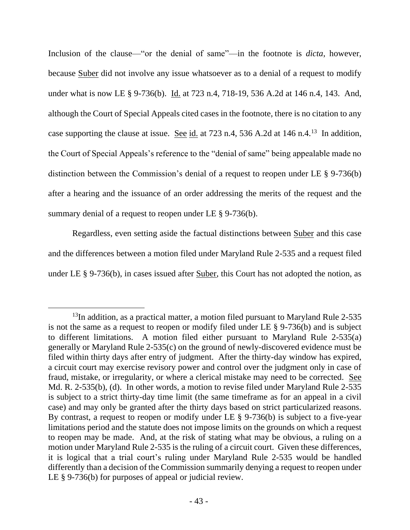Inclusion of the clause—"or the denial of same"—in the footnote is *dicta*, however, because Suber did not involve any issue whatsoever as to a denial of a request to modify under what is now LE § 9-736(b). Id. at 723 n.4, 718-19, 536 A.2d at 146 n.4, 143. And, although the Court of Special Appeals cited cases in the footnote, there is no citation to any case supporting the clause at issue. See  $id$  at 723 n.4, 536 A.2d at 146 n.4.<sup>13</sup> In addition, the Court of Special Appeals's reference to the "denial of same" being appealable made no distinction between the Commission's denial of a request to reopen under LE § 9-736(b) after a hearing and the issuance of an order addressing the merits of the request and the summary denial of a request to reopen under LE § 9-736(b).

Regardless, even setting aside the factual distinctions between Suber and this case and the differences between a motion filed under Maryland Rule 2-535 and a request filed under LE § 9-736(b), in cases issued after Suber, this Court has not adopted the notion, as

<sup>&</sup>lt;sup>13</sup>In addition, as a practical matter, a motion filed pursuant to Maryland Rule 2-535 is not the same as a request to reopen or modify filed under LE § 9-736(b) and is subject to different limitations. A motion filed either pursuant to Maryland Rule 2-535(a) generally or Maryland Rule 2-535(c) on the ground of newly-discovered evidence must be filed within thirty days after entry of judgment. After the thirty-day window has expired, a circuit court may exercise revisory power and control over the judgment only in case of fraud, mistake, or irregularity, or where a clerical mistake may need to be corrected. See Md. R. 2-535(b), (d). In other words, a motion to revise filed under Maryland Rule 2-535 is subject to a strict thirty-day time limit (the same timeframe as for an appeal in a civil case) and may only be granted after the thirty days based on strict particularized reasons. By contrast, a request to reopen or modify under LE § 9-736(b) is subject to a five-year limitations period and the statute does not impose limits on the grounds on which a request to reopen may be made. And, at the risk of stating what may be obvious, a ruling on a motion under Maryland Rule 2-535 is the ruling of a circuit court. Given these differences, it is logical that a trial court's ruling under Maryland Rule 2-535 would be handled differently than a decision of the Commission summarily denying a request to reopen under LE § 9-736(b) for purposes of appeal or judicial review.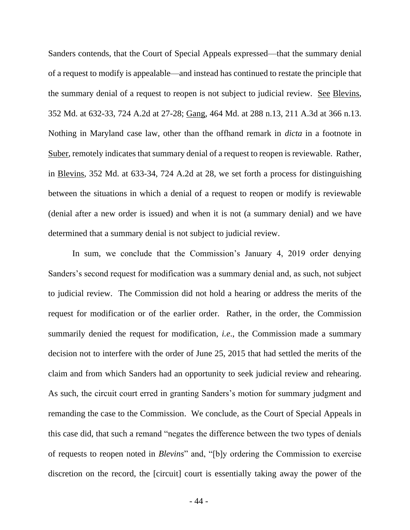Sanders contends, that the Court of Special Appeals expressed—that the summary denial of a request to modify is appealable—and instead has continued to restate the principle that the summary denial of a request to reopen is not subject to judicial review. See Blevins, 352 Md. at 632-33, 724 A.2d at 27-28; Gang, 464 Md. at 288 n.13, 211 A.3d at 366 n.13. Nothing in Maryland case law, other than the offhand remark in *dicta* in a footnote in Suber, remotely indicates that summary denial of a request to reopen is reviewable. Rather, in Blevins, 352 Md. at 633-34, 724 A.2d at 28, we set forth a process for distinguishing between the situations in which a denial of a request to reopen or modify is reviewable (denial after a new order is issued) and when it is not (a summary denial) and we have determined that a summary denial is not subject to judicial review.

In sum, we conclude that the Commission's January 4, 2019 order denying Sanders's second request for modification was a summary denial and, as such, not subject to judicial review. The Commission did not hold a hearing or address the merits of the request for modification or of the earlier order. Rather, in the order, the Commission summarily denied the request for modification, *i.e*., the Commission made a summary decision not to interfere with the order of June 25, 2015 that had settled the merits of the claim and from which Sanders had an opportunity to seek judicial review and rehearing. As such, the circuit court erred in granting Sanders's motion for summary judgment and remanding the case to the Commission. We conclude, as the Court of Special Appeals in this case did, that such a remand "negates the difference between the two types of denials of requests to reopen noted in *Blevins*" and, "[b]y ordering the Commission to exercise discretion on the record, the [circuit] court is essentially taking away the power of the